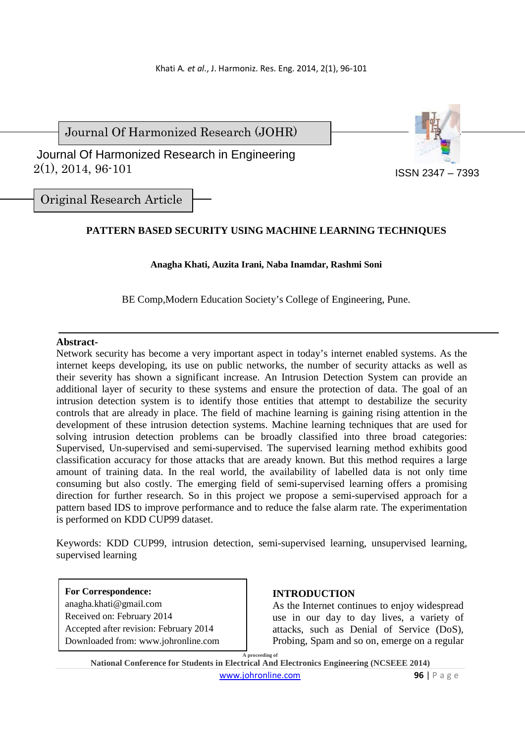Journal Of Harmonized Research (JOHR)

 2(1), 2014, 96-101 Journal Of Harmonized Research in Engineering



Original Research Article

# **PATTERN BASED SECURITY USING MACHINE LEARNING TECHNIQUES**

### **Anagha Khati, Auzita Irani, Naba Inamdar, Rashmi Soni**

BE Comp,Modern Education Society's College of Engineering, Pune.

## **Abstract-**

Network security has become a very important aspect in today's internet enabled systems. As the internet keeps developing, its use on public networks, the number of security attacks as well as their severity has shown a significant increase. An Intrusion Detection System can provide an additional layer of security to these systems and ensure the protection of data. The goal of an intrusion detection system is to identify those entities that attempt to destabilize the security controls that are already in place. The field of machine learning is gaining rising attention in the development of these intrusion detection systems. Machine learning techniques that are used for solving intrusion detection problems can be broadly classified into three broad categories: Supervised, Un-supervised and semi-supervised. The supervised learning method exhibits good classification accuracy for those attacks that are aready known. But this method requires a large amount of training data. In the real world, the availability of labelled data is not only time consuming but also costly. The emerging field of semi-supervised learning offers a promising direction for further research. So in this project we propose a semi-supervised approach for a pattern based IDS to improve performance and to reduce the false alarm rate. The experimentation is performed on KDD CUP99 dataset.

Keywords: KDD CUP99, intrusion detection, semi-supervised learning, unsupervised learning, supervised learning

**For Correspondence:**  anagha.khati@gmail.com Received on: February 2014 Accepted after revision: February 2014 Downloaded from: www.johronline.com

# **INTRODUCTION**

As the Internet continues to enjoy widespread use in our day to day lives, a variety of attacks, such as Denial of Service (DoS), Probing, Spam and so on, emerge on a regular

**A proceeding of National Conference for Students in Electrical And Electronics Engineering (NCSEEE 2014)**  www.johronline.com **96** | P a g e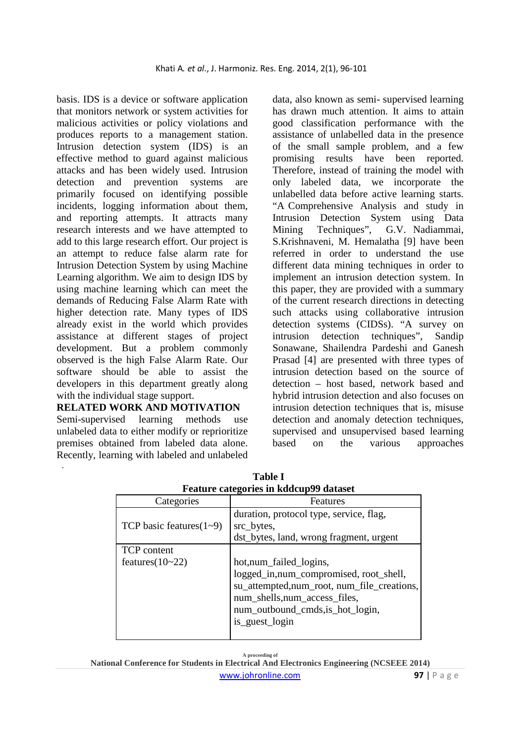basis. IDS is a device or software application that monitors network or system activities for malicious activities or policy violations and produces reports to a management station. Intrusion detection system (IDS) is an effective method to guard against malicious attacks and has been widely used. Intrusion detection and prevention systems are primarily focused on identifying possible incidents, logging information about them, and reporting attempts. It attracts many research interests and we have attempted to add to this large research effort. Our project is an attempt to reduce false alarm rate for Intrusion Detection System by using Machine Learning algorithm. We aim to design IDS by using machine learning which can meet the demands of Reducing False Alarm Rate with higher detection rate. Many types of IDS already exist in the world which provides assistance at different stages of project development. But a problem commonly observed is the high False Alarm Rate. Our software should be able to assist the developers in this department greatly along with the individual stage support.

## **RELATED WORK AND MOTIVATION**

Semi-supervised learning methods use unlabeled data to either modify or reprioritize premises obtained from labeled data alone. Recently, learning with labeled and unlabeled

.

data, also known as semi- supervised learning has drawn much attention. It aims to attain good classification performance with the assistance of unlabelled data in the presence of the small sample problem, and a few promising results have been reported. Therefore, instead of training the model with only labeled data, we incorporate the unlabelled data before active learning starts. "A Comprehensive Analysis and study in Intrusion Detection System using Data Mining Techniques", G.V. Nadiammai, S.Krishnaveni, M. Hemalatha [9] have been referred in order to understand the use different data mining techniques in order to implement an intrusion detection system. In this paper, they are provided with a summary of the current research directions in detecting such attacks using collaborative intrusion detection systems (CIDSs). "A survey on intrusion detection techniques", Sandip Sonawane, Shailendra Pardeshi and Ganesh Prasad [4] are presented with three types of intrusion detection based on the source of detection – host based, network based and hybrid intrusion detection and also focuses on intrusion detection techniques that is, misuse detection and anomaly detection techniques, supervised and unsupervised based learning based on the various approaches

| <b>Feature categories in Koocupyy dataset</b> |                                                                                                                                                                                                        |
|-----------------------------------------------|--------------------------------------------------------------------------------------------------------------------------------------------------------------------------------------------------------|
| Categories                                    | Features                                                                                                                                                                                               |
| TCP basic features $(1-9)$                    | duration, protocol type, service, flag,<br>src_bytes,<br>dst_bytes, land, wrong fragment, urgent                                                                                                       |
| <b>TCP</b> content<br>features $(10-22)$      | hot, num_failed_logins,<br>logged_in,num_compromised, root_shell,<br>su_attempted,num_root, num_file_creations,<br>num_shells, num_access_files,<br>num_outbound_cmds, is_hot_login,<br>is_guest_login |

**Table I Feature categories in kddcup99 dataset**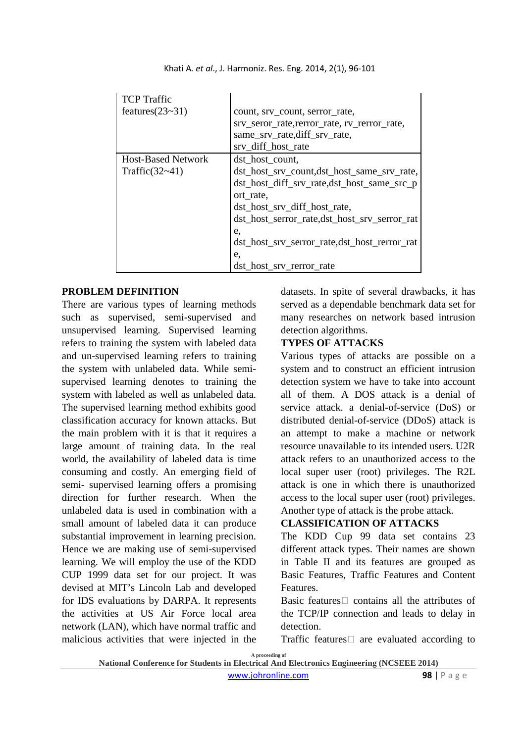| <b>TCP</b> Traffic<br>features $(23-31)$       | count, srv_count, serror_rate,<br>srv_seror_rate, rerror_rate, rv_rerror_rate,<br>same_srv_rate,diff_srv_rate,<br>srv_diff_host_rate                                                                                                                                                             |
|------------------------------------------------|--------------------------------------------------------------------------------------------------------------------------------------------------------------------------------------------------------------------------------------------------------------------------------------------------|
| <b>Host-Based Network</b><br>Traffic $(32-41)$ | dst_host_count,<br>dst_host_srv_count,dst_host_same_srv_rate,<br>dst_host_diff_srv_rate,dst_host_same_src_p<br>ort rate.<br>dst_host_srv_diff_host_rate,<br>dst_host_serror_rate,dst_host_srv_serror_rat<br>e.<br>dst_host_srv_serror_rate,dst_host_rerror_rat<br>e.<br>dst_host_srv_rerror_rate |

Khati A*. et al*., J. Harmoniz. Res. Eng. 2014, 2(1), 96-101

## **PROBLEM DEFINITION**

There are various types of learning methods such as supervised, semi-supervised and unsupervised learning. Supervised learning refers to training the system with labeled data and un-supervised learning refers to training the system with unlabeled data. While semisupervised learning denotes to training the system with labeled as well as unlabeled data. The supervised learning method exhibits good classification accuracy for known attacks. But the main problem with it is that it requires a large amount of training data. In the real world, the availability of labeled data is time consuming and costly. An emerging field of semi- supervised learning offers a promising direction for further research. When the unlabeled data is used in combination with a small amount of labeled data it can produce substantial improvement in learning precision. Hence we are making use of semi-supervised learning. We will employ the use of the KDD CUP 1999 data set for our project. It was devised at MIT's Lincoln Lab and developed for IDS evaluations by DARPA. It represents the activities at US Air Force local area network (LAN), which have normal traffic and malicious activities that were injected in the

datasets. In spite of several drawbacks, it has served as a dependable benchmark data set for many researches on network based intrusion detection algorithms.

# **TYPES OF ATTACKS**

Various types of attacks are possible on a system and to construct an efficient intrusion detection system we have to take into account all of them. A DOS attack is a denial of service attack. a denial-of-service (DoS) or distributed denial-of-service (DDoS) attack is an attempt to make a machine or network resource unavailable to its intended users. U2R attack refers to an unauthorized access to the local super user (root) privileges. The R2L attack is one in which there is unauthorized access to the local super user (root) privileges. Another type of attack is the probe attack.

# **CLASSIFICATION OF ATTACKS**

The KDD Cup 99 data set contains 23 different attack types. Their names are shown in Table II and its features are grouped as Basic Features, Traffic Features and Content Features.

Basic features contains all the attributes of the TCP/IP connection and leads to delay in detection.

Traffic features are evaluated according to

**A proceeding of** 

**National Conference for Students in Electrical And Electronics Engineering (NCSEEE 2014)**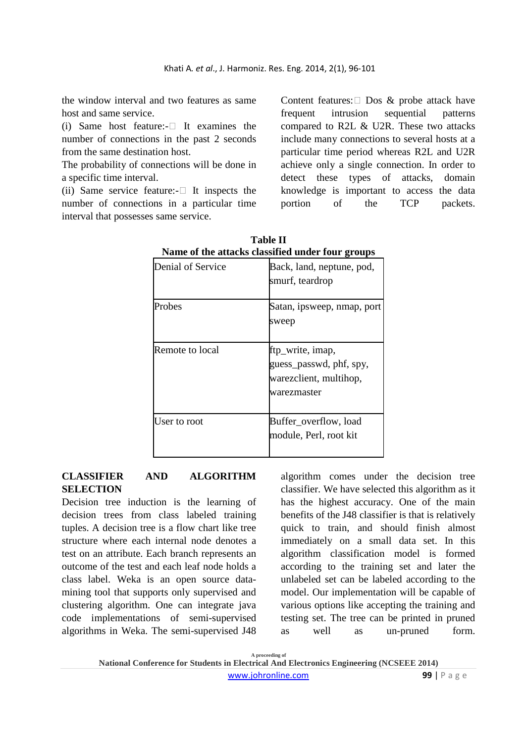the window interval and two features as same host and same service.

(i) Same host feature:- It examines the number of connections in the past 2 seconds from the same destination host.

The probability of connections will be done in a specific time interval.

(ii) Same service feature:- It inspects the number of connections in a particular time interval that possesses same service.

Content features: Dos & probe attack have frequent intrusion sequential patterns compared to R2L & U2R. These two attacks include many connections to several hosts at a particular time period whereas R2L and U2R achieve only a single connection. In order to detect these types of attacks, domain knowledge is important to access the data portion of the TCP packets.

| Name of the attacks classified under four groups |                                                                                      |  |
|--------------------------------------------------|--------------------------------------------------------------------------------------|--|
| Denial of Service                                | Back, land, neptune, pod,<br>smurf, teardrop                                         |  |
| Probes                                           | Satan, ipsweep, nmap, port<br>sweep                                                  |  |
| Remote to local                                  | ftp_write, imap,<br>guess_passwd, phf, spy,<br>warezclient, multihop,<br>warezmaster |  |
| User to root                                     | Buffer_overflow, load<br>module, Perl, root kit                                      |  |

**Table II Name of the attacks classified under four groups** 

## **CLASSIFIER AND ALGORITHM SELECTION**

Decision tree induction is the learning of decision trees from class labeled training tuples. A decision tree is a flow chart like tree structure where each internal node denotes a test on an attribute. Each branch represents an outcome of the test and each leaf node holds a class label. Weka is an open source datamining tool that supports only supervised and clustering algorithm. One can integrate java code implementations of semi-supervised algorithms in Weka. The semi-supervised J48 algorithm comes under the decision tree classifier. We have selected this algorithm as it has the highest accuracy. One of the main benefits of the J48 classifier is that is relatively quick to train, and should finish almost immediately on a small data set. In this algorithm classification model is formed according to the training set and later the unlabeled set can be labeled according to the model. Our implementation will be capable of various options like accepting the training and testing set. The tree can be printed in pruned as well as un-pruned form.

**A proceeding of National Conference for Students in Electrical And Electronics Engineering (NCSEEE 2014)**  www.johronline.com **99** | P a g e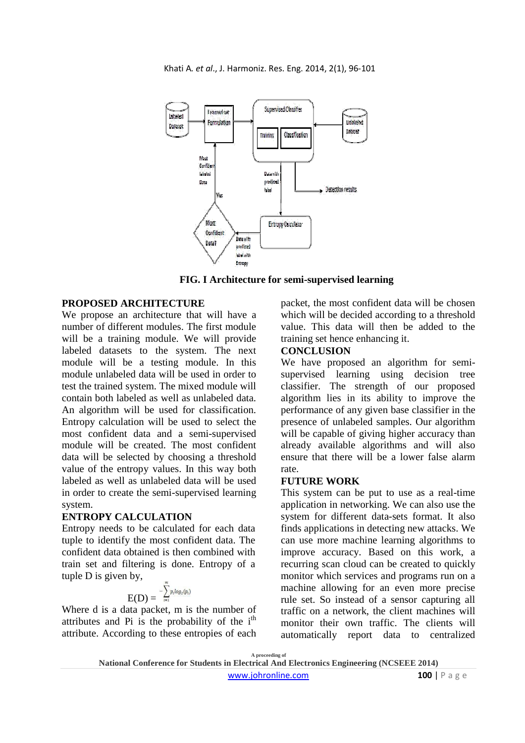

**FIG. I Architecture for semi-supervised learning** 

## **PROPOSED ARCHITECTURE**

We propose an architecture that will have a number of different modules. The first module will be a training module. We will provide labeled datasets to the system. The next module will be a testing module. In this module unlabeled data will be used in order to test the trained system. The mixed module will contain both labeled as well as unlabeled data. An algorithm will be used for classification. Entropy calculation will be used to select the most confident data and a semi-supervised module will be created. The most confident data will be selected by choosing a threshold value of the entropy values. In this way both labeled as well as unlabeled data will be used in order to create the semi-supervised learning system.

#### **ENTROPY CALCULATION**

Entropy needs to be calculated for each data tuple to identify the most confident data. The confident data obtained is then combined with train set and filtering is done. Entropy of a tuple D is given by,

$$
E(D) = \sum_{i=1}^{-m} p_i \log_2(p_i)
$$

Where d is a data packet, m is the number of attributes and Pi is the probability of the  $i<sup>th</sup>$ attribute. According to these entropies of each packet, the most confident data will be chosen which will be decided according to a threshold value. This data will then be added to the training set hence enhancing it.

## **CONCLUSION**

We have proposed an algorithm for semisupervised learning using decision tree classifier. The strength of our proposed algorithm lies in its ability to improve the performance of any given base classifier in the presence of unlabeled samples. Our algorithm will be capable of giving higher accuracy than already available algorithms and will also ensure that there will be a lower false alarm rate.

### **FUTURE WORK**

This system can be put to use as a real-time application in networking. We can also use the system for different data-sets format. It also finds applications in detecting new attacks. We can use more machine learning algorithms to improve accuracy. Based on this work, a recurring scan cloud can be created to quickly monitor which services and programs run on a machine allowing for an even more precise rule set. So instead of a sensor capturing all traffic on a network, the client machines will monitor their own traffic. The clients will automatically report data to centralized

**A proceeding of**